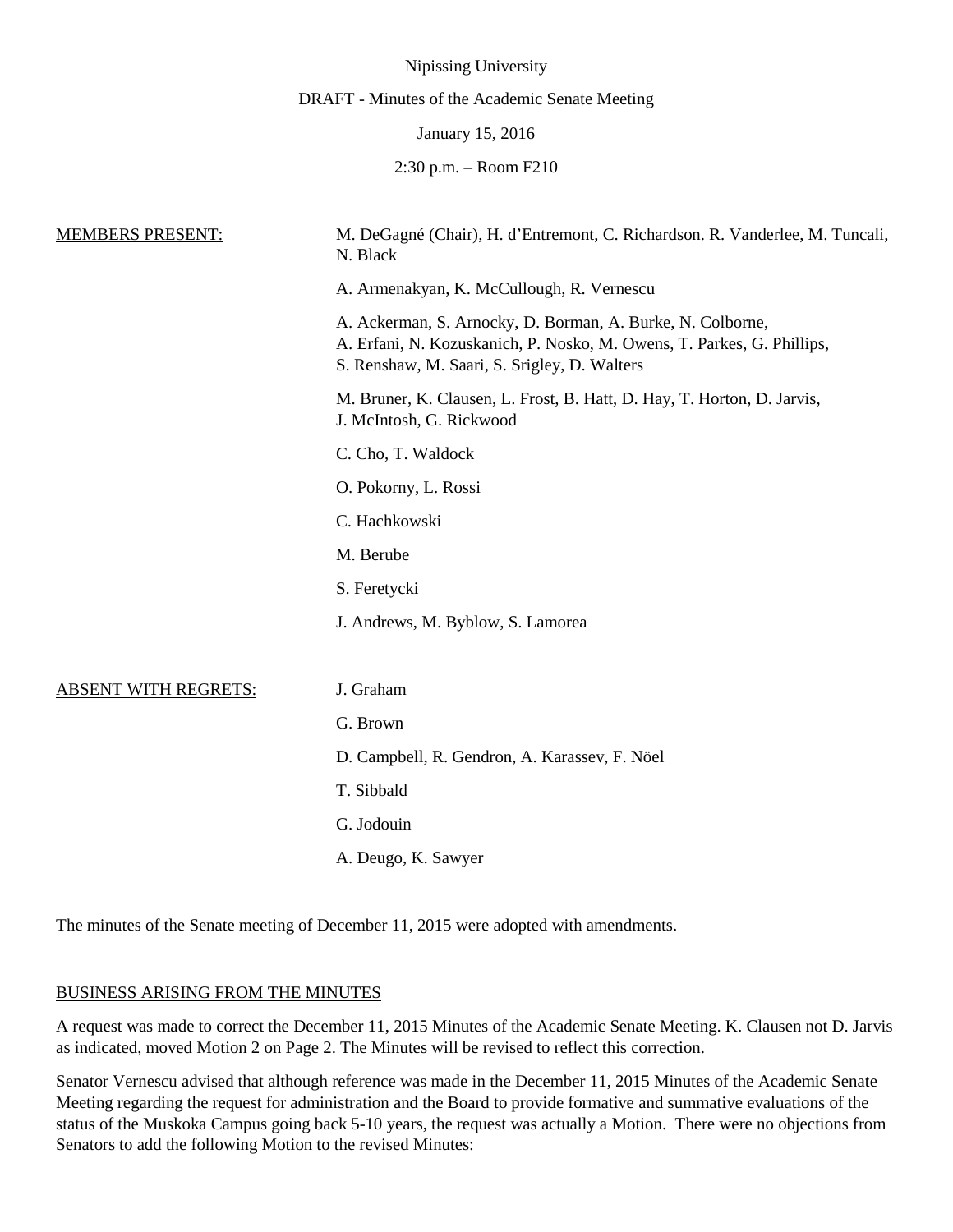|                             | Nipissing University                                                                                                                                                                 |
|-----------------------------|--------------------------------------------------------------------------------------------------------------------------------------------------------------------------------------|
|                             | DRAFT - Minutes of the Academic Senate Meeting                                                                                                                                       |
|                             | January 15, 2016                                                                                                                                                                     |
|                             | $2:30$ p.m. $-$ Room $F210$                                                                                                                                                          |
| <u>MEMBERS PRESENT:</u>     | M. DeGagné (Chair), H. d'Entremont, C. Richardson. R. Vanderlee, M. Tuncali,<br>N. Black                                                                                             |
|                             | A. Armenakyan, K. McCullough, R. Vernescu                                                                                                                                            |
|                             | A. Ackerman, S. Arnocky, D. Borman, A. Burke, N. Colborne,<br>A. Erfani, N. Kozuskanich, P. Nosko, M. Owens, T. Parkes, G. Phillips,<br>S. Renshaw, M. Saari, S. Srigley, D. Walters |
|                             | M. Bruner, K. Clausen, L. Frost, B. Hatt, D. Hay, T. Horton, D. Jarvis,<br>J. McIntosh, G. Rickwood                                                                                  |
|                             | C. Cho, T. Waldock                                                                                                                                                                   |
|                             | O. Pokorny, L. Rossi                                                                                                                                                                 |
|                             | C. Hachkowski                                                                                                                                                                        |
|                             | M. Berube                                                                                                                                                                            |
|                             | S. Feretycki                                                                                                                                                                         |
|                             | J. Andrews, M. Byblow, S. Lamorea                                                                                                                                                    |
|                             |                                                                                                                                                                                      |
| <b>ABSENT WITH REGRETS:</b> | J. Graham                                                                                                                                                                            |
|                             | G. Brown                                                                                                                                                                             |
|                             | D. Campbell, R. Gendron, A. Karassev, F. Nöel                                                                                                                                        |
|                             | T. Sibbald                                                                                                                                                                           |
|                             | G. Jodouin                                                                                                                                                                           |
|                             | A. Deugo, K. Sawyer                                                                                                                                                                  |
|                             |                                                                                                                                                                                      |

The minutes of the Senate meeting of December 11, 2015 were adopted with amendments.

# BUSINESS ARISING FROM THE MINUTES

A request was made to correct the December 11, 2015 Minutes of the Academic Senate Meeting. K. Clausen not D. Jarvis as indicated, moved Motion 2 on Page 2. The Minutes will be revised to reflect this correction.

Senator Vernescu advised that although reference was made in the December 11, 2015 Minutes of the Academic Senate Meeting regarding the request for administration and the Board to provide formative and summative evaluations of the status of the Muskoka Campus going back 5-10 years, the request was actually a Motion. There were no objections from Senators to add the following Motion to the revised Minutes: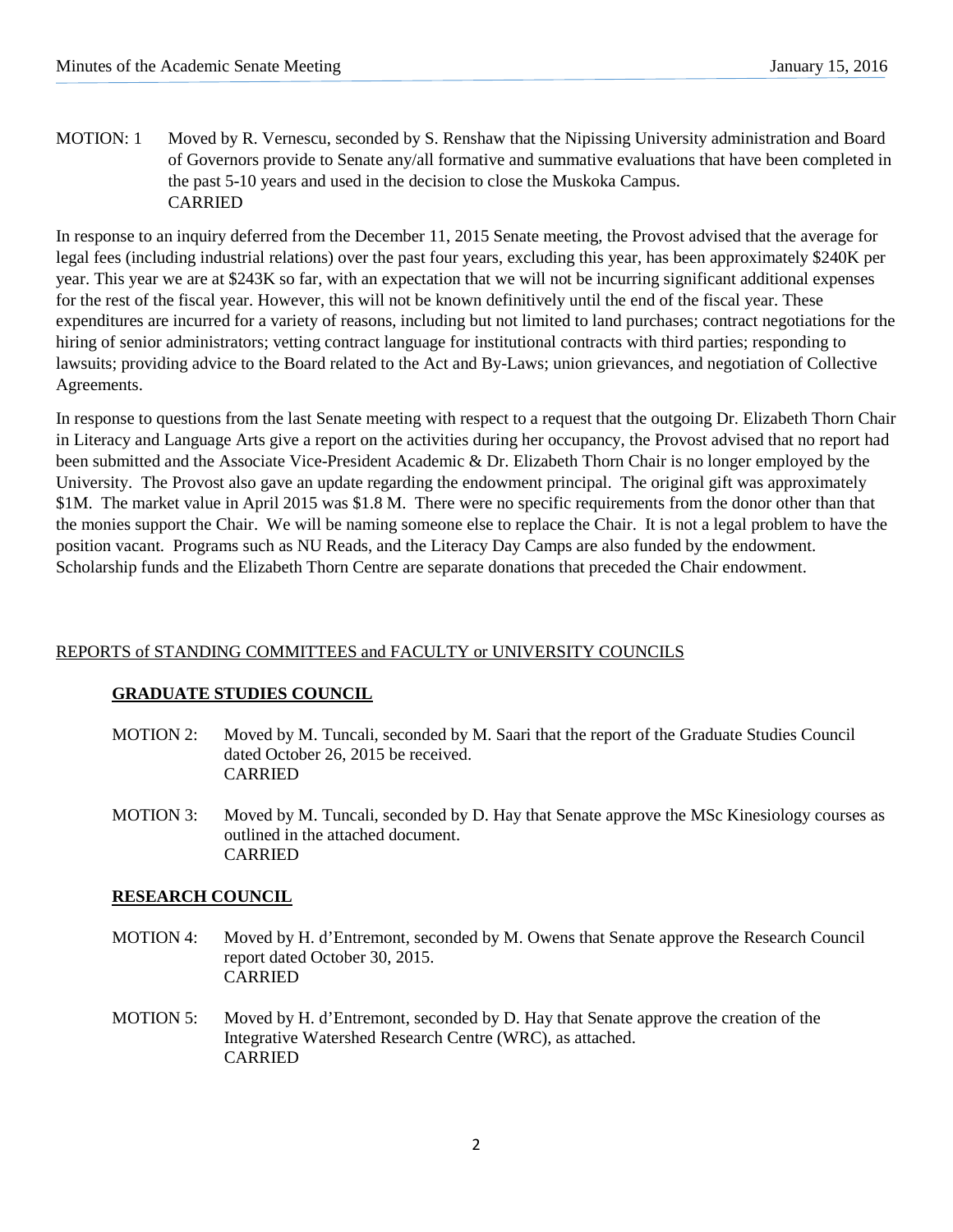MOTION: 1 Moved by R. Vernescu, seconded by S. Renshaw that the Nipissing University administration and Board of Governors provide to Senate any/all formative and summative evaluations that have been completed in the past 5-10 years and used in the decision to close the Muskoka Campus. CARRIED

In response to an inquiry deferred from the December 11, 2015 Senate meeting, the Provost advised that the average for legal fees (including industrial relations) over the past four years, excluding this year, has been approximately \$240K per year. This year we are at \$243K so far, with an expectation that we will not be incurring significant additional expenses for the rest of the fiscal year. However, this will not be known definitively until the end of the fiscal year. These expenditures are incurred for a variety of reasons, including but not limited to land purchases; contract negotiations for the hiring of senior administrators; vetting contract language for institutional contracts with third parties; responding to lawsuits; providing advice to the Board related to the Act and By-Laws; union grievances, and negotiation of Collective Agreements.

In response to questions from the last Senate meeting with respect to a request that the outgoing Dr. Elizabeth Thorn Chair in Literacy and Language Arts give a report on the activities during her occupancy, the Provost advised that no report had been submitted and the Associate Vice-President Academic & Dr. Elizabeth Thorn Chair is no longer employed by the University. The Provost also gave an update regarding the endowment principal. The original gift was approximately \$1M. The market value in April 2015 was \$1.8 M. There were no specific requirements from the donor other than that the monies support the Chair. We will be naming someone else to replace the Chair. It is not a legal problem to have the position vacant. Programs such as NU Reads, and the Literacy Day Camps are also funded by the endowment. Scholarship funds and the Elizabeth Thorn Centre are separate donations that preceded the Chair endowment.

# REPORTS of STANDING COMMITTEES and FACULTY or UNIVERSITY COUNCILS

# **GRADUATE STUDIES COUNCIL**

- MOTION 2: Moved by M. Tuncali, seconded by M. Saari that the report of the Graduate Studies Council dated October 26, 2015 be received. CARRIED
- MOTION 3: Moved by M. Tuncali, seconded by D. Hay that Senate approve the MSc Kinesiology courses as outlined in the attached document. CARRIED

# **RESEARCH COUNCIL**

- MOTION 4: Moved by H. d'Entremont, seconded by M. Owens that Senate approve the Research Council report dated October 30, 2015. CARRIED
- MOTION 5: Moved by H. d'Entremont, seconded by D. Hay that Senate approve the creation of the Integrative Watershed Research Centre (WRC), as attached. CARRIED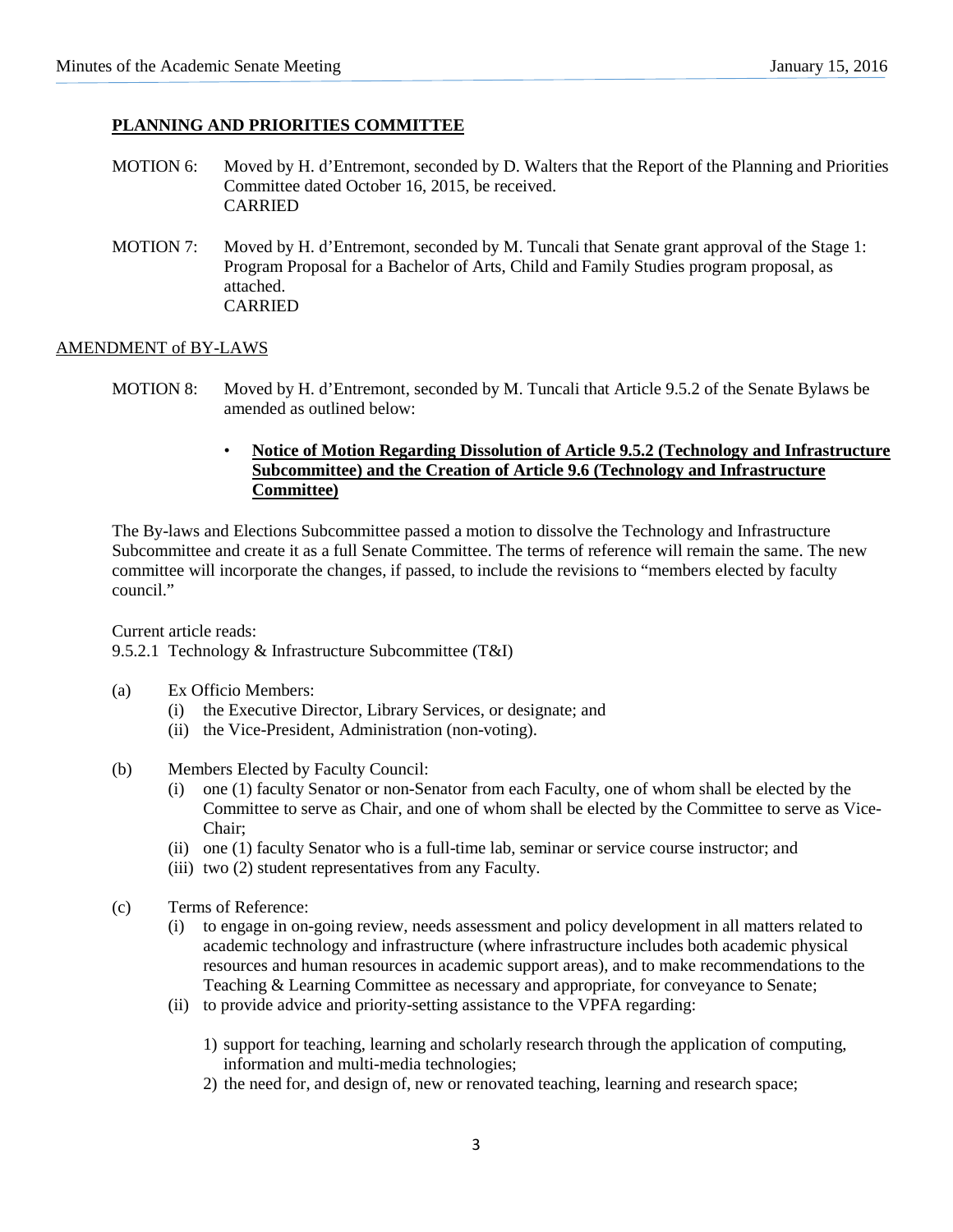# **PLANNING AND PRIORITIES COMMITTEE**

- MOTION 6: Moved by H. d'Entremont, seconded by D. Walters that the Report of the Planning and Priorities Committee dated October 16, 2015, be received. CARRIED
- MOTION 7: Moved by H. d'Entremont, seconded by M. Tuncali that Senate grant approval of the Stage 1: Program Proposal for a Bachelor of Arts, Child and Family Studies program proposal, as attached. CARRIED

#### AMENDMENT of BY-LAWS

- MOTION 8: Moved by H. d'Entremont, seconded by M. Tuncali that Article 9.5.2 of the Senate Bylaws be amended as outlined below:
	- **Notice of Motion Regarding Dissolution of Article 9.5.2 (Technology and Infrastructure Subcommittee) and the Creation of Article 9.6 (Technology and Infrastructure Committee)**

The By-laws and Elections Subcommittee passed a motion to dissolve the Technology and Infrastructure Subcommittee and create it as a full Senate Committee. The terms of reference will remain the same. The new committee will incorporate the changes, if passed, to include the revisions to "members elected by faculty council."

Current article reads:

9.5.2.1 Technology & Infrastructure Subcommittee (T&I)

- (a) Ex Officio Members:
	- (i) the Executive Director, Library Services, or designate; and
	- (ii) the Vice-President, Administration (non-voting).
- (b) Members Elected by Faculty Council:
	- (i) one (1) faculty Senator or non-Senator from each Faculty, one of whom shall be elected by the Committee to serve as Chair, and one of whom shall be elected by the Committee to serve as Vice-Chair;
	- (ii) one (1) faculty Senator who is a full-time lab, seminar or service course instructor; and
	- (iii) two (2) student representatives from any Faculty.
- (c) Terms of Reference:
	- (i) to engage in on-going review, needs assessment and policy development in all matters related to academic technology and infrastructure (where infrastructure includes both academic physical resources and human resources in academic support areas), and to make recommendations to the Teaching & Learning Committee as necessary and appropriate, for conveyance to Senate;
	- (ii) to provide advice and priority-setting assistance to the VPFA regarding:
		- 1) support for teaching, learning and scholarly research through the application of computing, information and multi-media technologies;
		- 2) the need for, and design of, new or renovated teaching, learning and research space;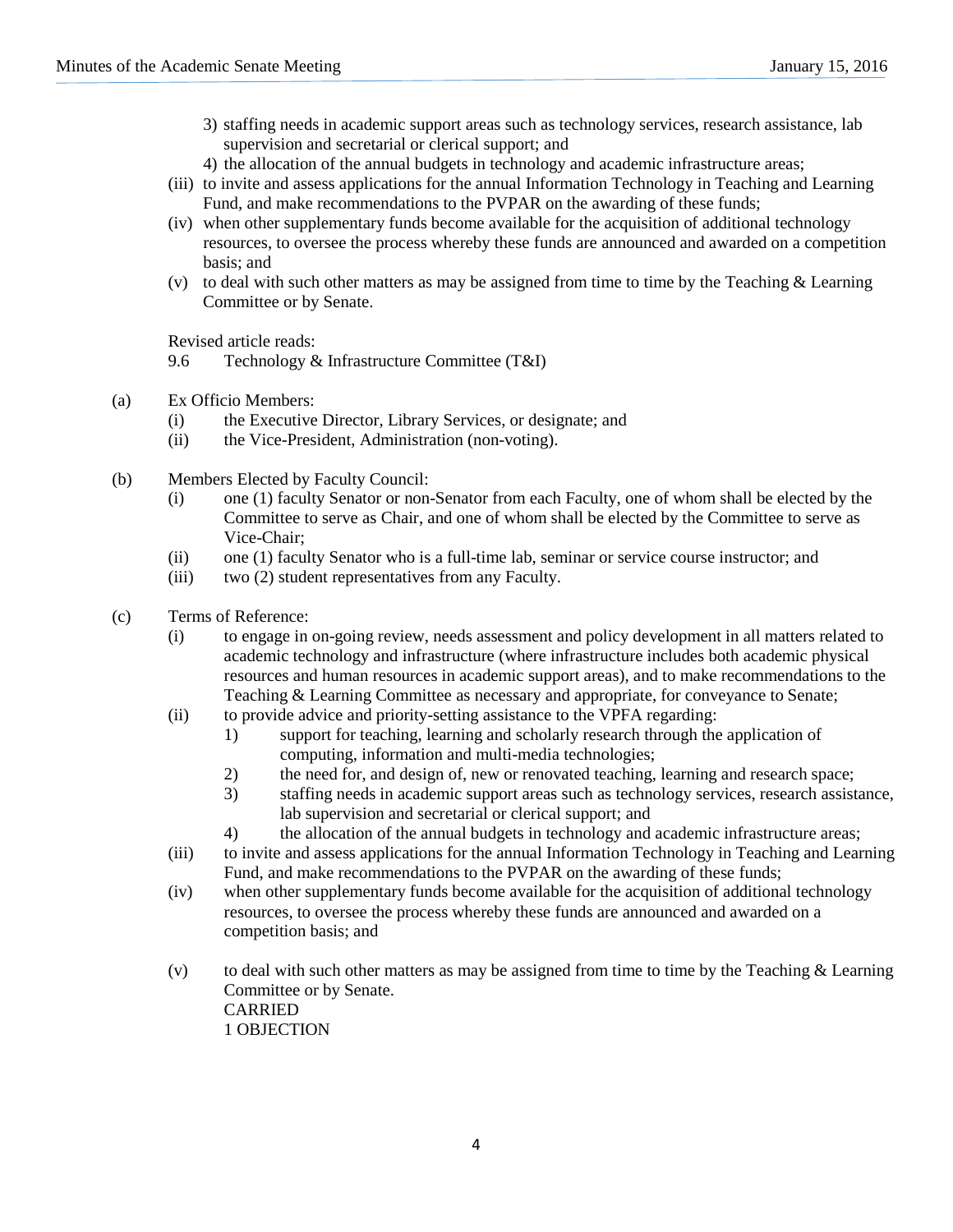- 3) staffing needs in academic support areas such as technology services, research assistance, lab supervision and secretarial or clerical support; and
- 4) the allocation of the annual budgets in technology and academic infrastructure areas;
- (iii) to invite and assess applications for the annual Information Technology in Teaching and Learning Fund, and make recommendations to the PVPAR on the awarding of these funds;
- (iv) when other supplementary funds become available for the acquisition of additional technology resources, to oversee the process whereby these funds are announced and awarded on a competition basis; and
- (v) to deal with such other matters as may be assigned from time to time by the Teaching & Learning Committee or by Senate.

Revised article reads:

- 9.6 Technology & Infrastructure Committee (T&I)
- (a) Ex Officio Members:
	- (i) the Executive Director, Library Services, or designate; and
	- (ii) the Vice-President, Administration (non-voting).
- (b) Members Elected by Faculty Council:
	- (i) one (1) faculty Senator or non-Senator from each Faculty, one of whom shall be elected by the Committee to serve as Chair, and one of whom shall be elected by the Committee to serve as Vice-Chair;
	- (ii) one (1) faculty Senator who is a full-time lab, seminar or service course instructor; and
	- (iii) two (2) student representatives from any Faculty.
- (c) Terms of Reference:
	- (i) to engage in on-going review, needs assessment and policy development in all matters related to academic technology and infrastructure (where infrastructure includes both academic physical resources and human resources in academic support areas), and to make recommendations to the Teaching & Learning Committee as necessary and appropriate, for conveyance to Senate;
	- (ii) to provide advice and priority-setting assistance to the VPFA regarding:
		- 1) support for teaching, learning and scholarly research through the application of computing, information and multi-media technologies;
		- 2) the need for, and design of, new or renovated teaching, learning and research space;
		- 3) staffing needs in academic support areas such as technology services, research assistance, lab supervision and secretarial or clerical support; and
		- 4) the allocation of the annual budgets in technology and academic infrastructure areas;
	- (iii) to invite and assess applications for the annual Information Technology in Teaching and Learning Fund, and make recommendations to the PVPAR on the awarding of these funds;
	- (iv) when other supplementary funds become available for the acquisition of additional technology resources, to oversee the process whereby these funds are announced and awarded on a competition basis; and
	- (v) to deal with such other matters as may be assigned from time to time by the Teaching  $\&$  Learning Committee or by Senate. CARRIED 1 OBJECTION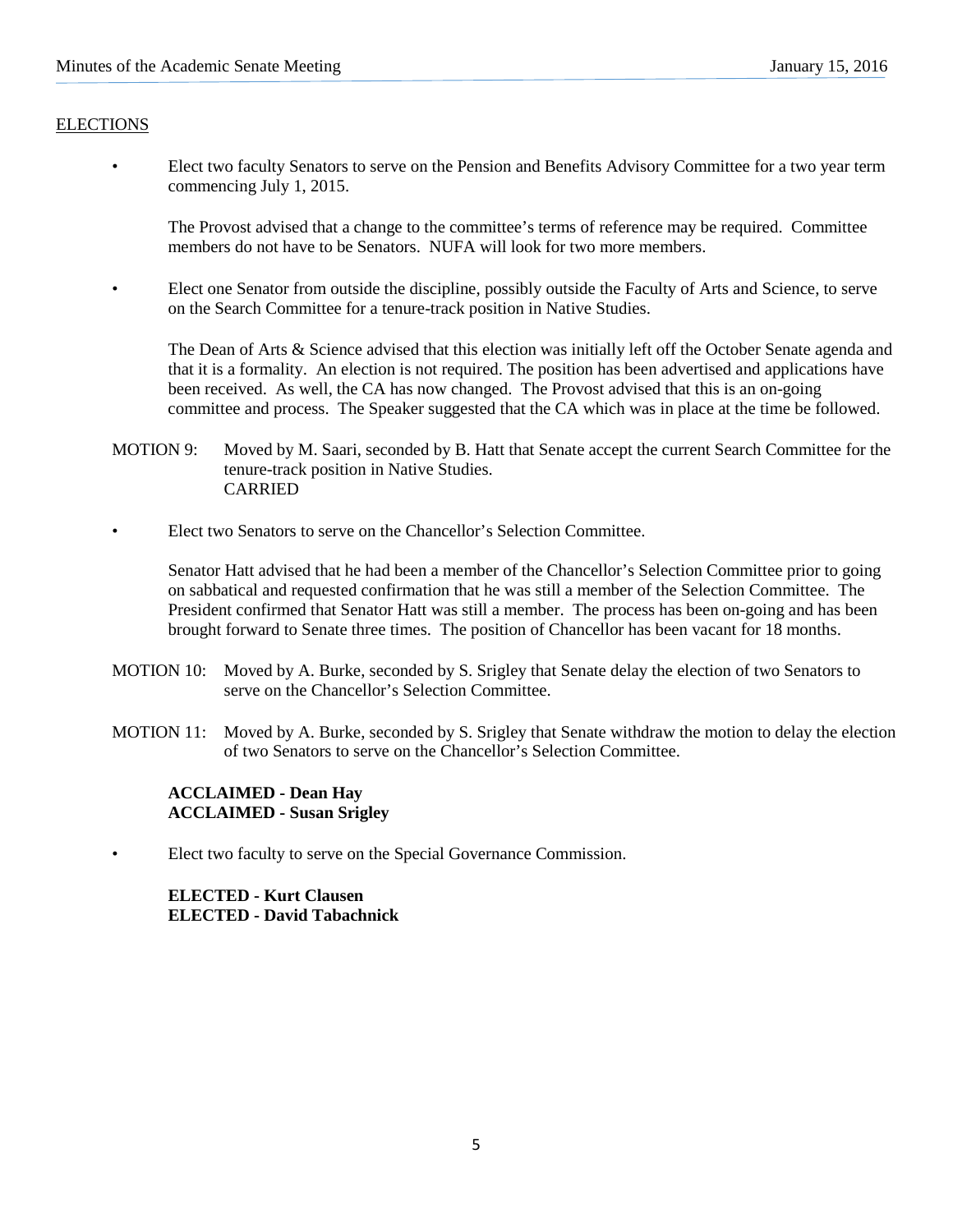# **ELECTIONS**

• Elect two faculty Senators to serve on the Pension and Benefits Advisory Committee for a two year term commencing July 1, 2015.

The Provost advised that a change to the committee's terms of reference may be required. Committee members do not have to be Senators. NUFA will look for two more members.

• Elect one Senator from outside the discipline, possibly outside the Faculty of Arts and Science, to serve on the Search Committee for a tenure-track position in Native Studies.

The Dean of Arts & Science advised that this election was initially left off the October Senate agenda and that it is a formality. An election is not required. The position has been advertised and applications have been received. As well, the CA has now changed. The Provost advised that this is an on-going committee and process. The Speaker suggested that the CA which was in place at the time be followed.

- MOTION 9: Moved by M. Saari, seconded by B. Hatt that Senate accept the current Search Committee for the tenure-track position in Native Studies. CARRIED
- Elect two Senators to serve on the Chancellor's Selection Committee.

Senator Hatt advised that he had been a member of the Chancellor's Selection Committee prior to going on sabbatical and requested confirmation that he was still a member of the Selection Committee. The President confirmed that Senator Hatt was still a member. The process has been on-going and has been brought forward to Senate three times. The position of Chancellor has been vacant for 18 months.

- MOTION 10: Moved by A. Burke, seconded by S. Srigley that Senate delay the election of two Senators to serve on the Chancellor's Selection Committee.
- MOTION 11: Moved by A. Burke, seconded by S. Srigley that Senate withdraw the motion to delay the election of two Senators to serve on the Chancellor's Selection Committee.

# **ACCLAIMED - Dean Hay ACCLAIMED - Susan Srigley**

• Elect two faculty to serve on the Special Governance Commission.

**ELECTED - Kurt Clausen ELECTED - David Tabachnick**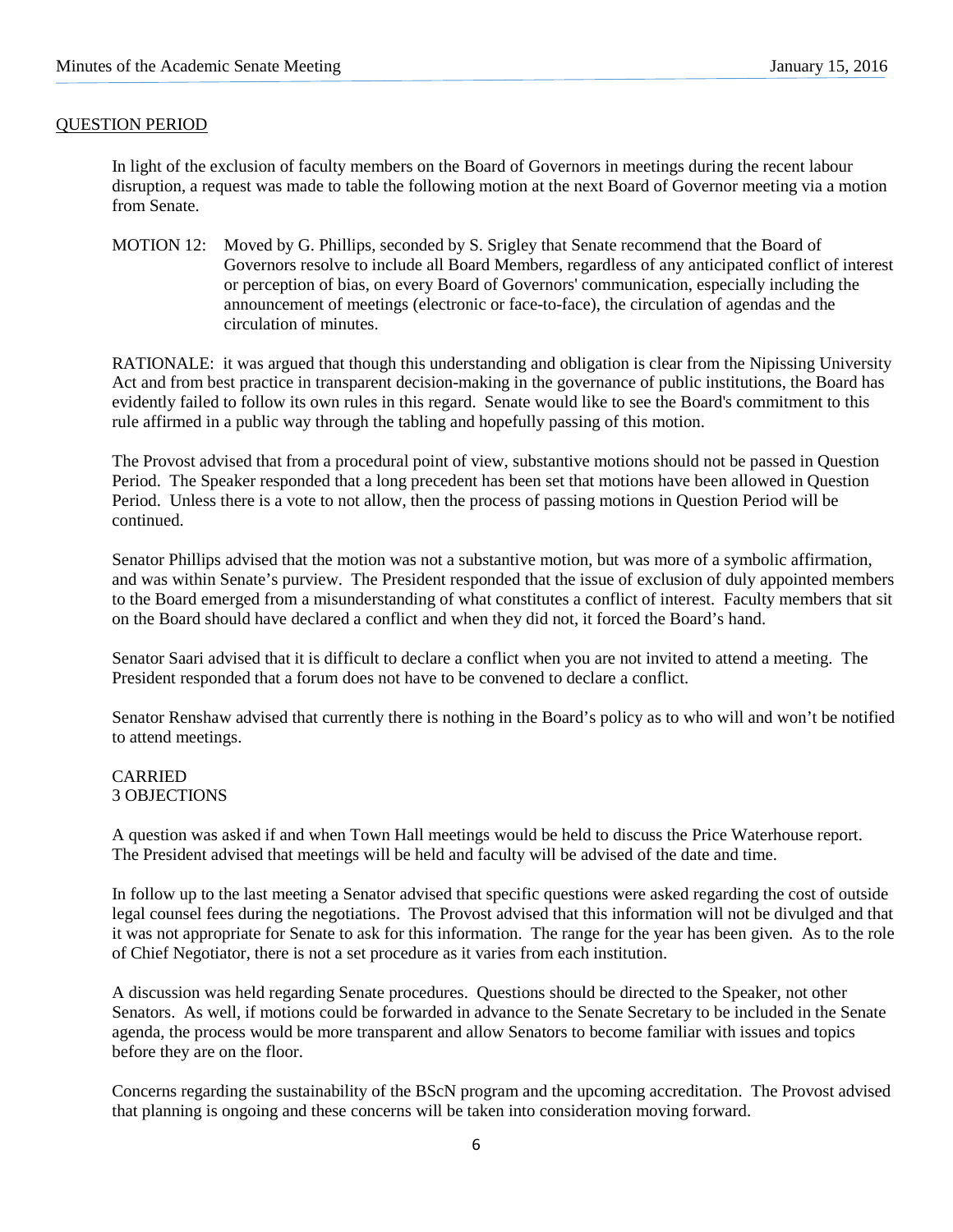## QUESTION PERIOD

In light of the exclusion of faculty members on the Board of Governors in meetings during the recent labour disruption, a request was made to table the following motion at the next Board of Governor meeting via a motion from Senate.

MOTION 12: Moved by G. Phillips, seconded by S. Srigley that Senate recommend that the Board of Governors resolve to include all Board Members, regardless of any anticipated conflict of interest or perception of bias, on every Board of Governors' communication, especially including the announcement of meetings (electronic or face-to-face), the circulation of agendas and the circulation of minutes.

RATIONALE: it was argued that though this understanding and obligation is clear from the Nipissing University Act and from best practice in transparent decision-making in the governance of public institutions, the Board has evidently failed to follow its own rules in this regard. Senate would like to see the Board's commitment to this rule affirmed in a public way through the tabling and hopefully passing of this motion.

The Provost advised that from a procedural point of view, substantive motions should not be passed in Question Period. The Speaker responded that a long precedent has been set that motions have been allowed in Question Period. Unless there is a vote to not allow, then the process of passing motions in Question Period will be continued.

Senator Phillips advised that the motion was not a substantive motion, but was more of a symbolic affirmation, and was within Senate's purview. The President responded that the issue of exclusion of duly appointed members to the Board emerged from a misunderstanding of what constitutes a conflict of interest. Faculty members that sit on the Board should have declared a conflict and when they did not, it forced the Board's hand.

Senator Saari advised that it is difficult to declare a conflict when you are not invited to attend a meeting. The President responded that a forum does not have to be convened to declare a conflict.

Senator Renshaw advised that currently there is nothing in the Board's policy as to who will and won't be notified to attend meetings.

#### CARRIED 3 OBJECTIONS

A question was asked if and when Town Hall meetings would be held to discuss the Price Waterhouse report. The President advised that meetings will be held and faculty will be advised of the date and time.

In follow up to the last meeting a Senator advised that specific questions were asked regarding the cost of outside legal counsel fees during the negotiations. The Provost advised that this information will not be divulged and that it was not appropriate for Senate to ask for this information. The range for the year has been given. As to the role of Chief Negotiator, there is not a set procedure as it varies from each institution.

A discussion was held regarding Senate procedures. Questions should be directed to the Speaker, not other Senators. As well, if motions could be forwarded in advance to the Senate Secretary to be included in the Senate agenda, the process would be more transparent and allow Senators to become familiar with issues and topics before they are on the floor.

Concerns regarding the sustainability of the BScN program and the upcoming accreditation. The Provost advised that planning is ongoing and these concerns will be taken into consideration moving forward.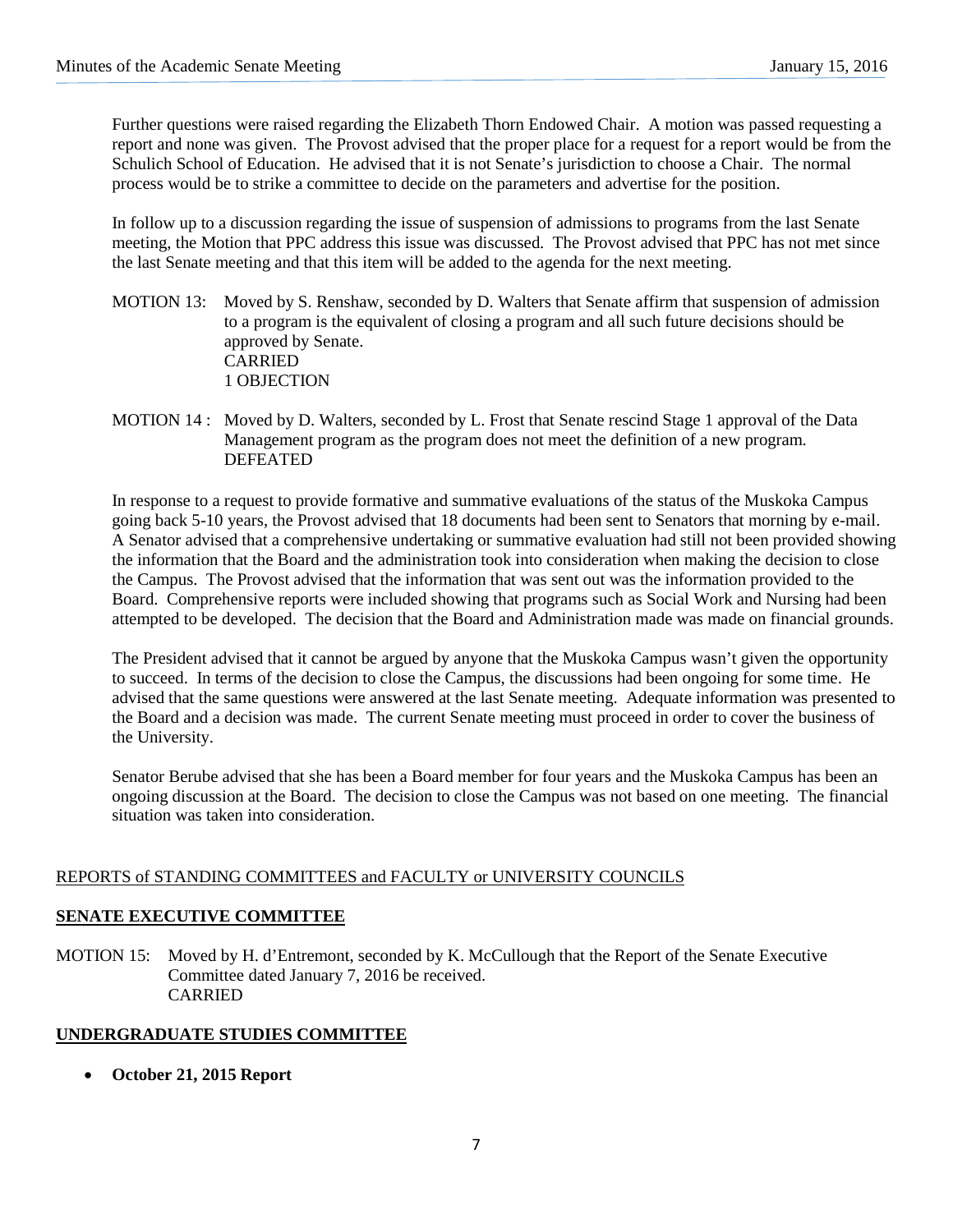Further questions were raised regarding the Elizabeth Thorn Endowed Chair. A motion was passed requesting a report and none was given. The Provost advised that the proper place for a request for a report would be from the Schulich School of Education. He advised that it is not Senate's jurisdiction to choose a Chair. The normal process would be to strike a committee to decide on the parameters and advertise for the position.

In follow up to a discussion regarding the issue of suspension of admissions to programs from the last Senate meeting, the Motion that PPC address this issue was discussed. The Provost advised that PPC has not met since the last Senate meeting and that this item will be added to the agenda for the next meeting.

- MOTION 13: Moved by S. Renshaw, seconded by D. Walters that Senate affirm that suspension of admission to a program is the equivalent of closing a program and all such future decisions should be approved by Senate. CARRIED 1 OBJECTION
- MOTION 14 : Moved by D. Walters, seconded by L. Frost that Senate rescind Stage 1 approval of the Data Management program as the program does not meet the definition of a new program. DEFEATED

In response to a request to provide formative and summative evaluations of the status of the Muskoka Campus going back 5-10 years, the Provost advised that 18 documents had been sent to Senators that morning by e-mail. A Senator advised that a comprehensive undertaking or summative evaluation had still not been provided showing the information that the Board and the administration took into consideration when making the decision to close the Campus. The Provost advised that the information that was sent out was the information provided to the Board. Comprehensive reports were included showing that programs such as Social Work and Nursing had been attempted to be developed. The decision that the Board and Administration made was made on financial grounds.

The President advised that it cannot be argued by anyone that the Muskoka Campus wasn't given the opportunity to succeed. In terms of the decision to close the Campus, the discussions had been ongoing for some time. He advised that the same questions were answered at the last Senate meeting. Adequate information was presented to the Board and a decision was made. The current Senate meeting must proceed in order to cover the business of the University.

Senator Berube advised that she has been a Board member for four years and the Muskoka Campus has been an ongoing discussion at the Board. The decision to close the Campus was not based on one meeting. The financial situation was taken into consideration.

# REPORTS of STANDING COMMITTEES and FACULTY or UNIVERSITY COUNCILS

# **SENATE EXECUTIVE COMMITTEE**

MOTION 15: Moved by H. d'Entremont, seconded by K. McCullough that the Report of the Senate Executive Committee dated January 7, 2016 be received. CARRIED

# **UNDERGRADUATE STUDIES COMMITTEE**

• **October 21, 2015 Report**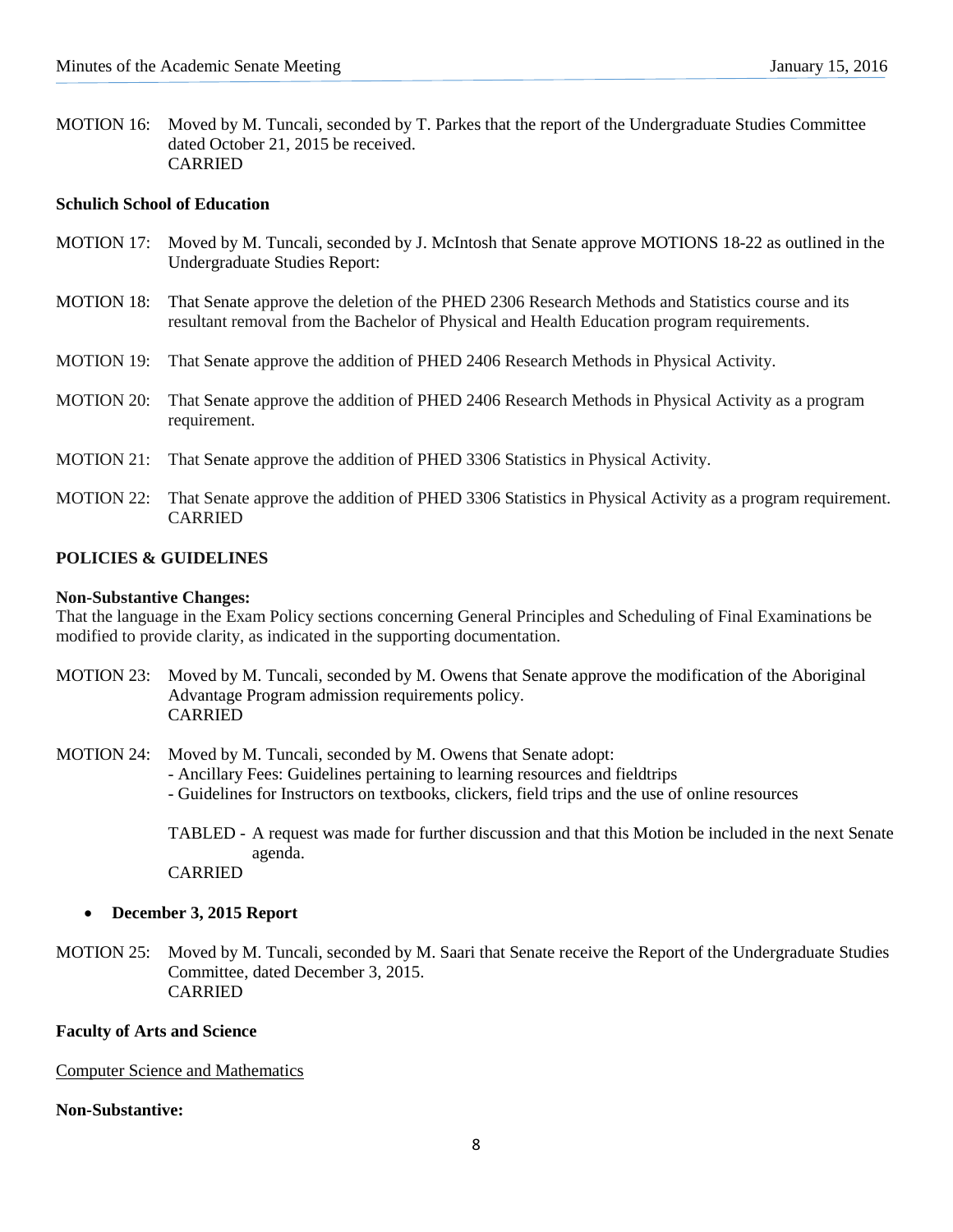MOTION 16: Moved by M. Tuncali, seconded by T. Parkes that the report of the Undergraduate Studies Committee dated October 21, 2015 be received. CARRIED

## **Schulich School of Education**

- MOTION 17: Moved by M. Tuncali, seconded by J. McIntosh that Senate approve MOTIONS 18-22 as outlined in the Undergraduate Studies Report: MOTION 18: That Senate approve the deletion of the PHED 2306 Research Methods and Statistics course and its resultant removal from the Bachelor of Physical and Health Education program requirements.
- MOTION 19: That Senate approve the addition of PHED 2406 Research Methods in Physical Activity.
- MOTION 20: That Senate approve the addition of PHED 2406 Research Methods in Physical Activity as a program requirement.
- MOTION 21: That Senate approve the addition of PHED 3306 Statistics in Physical Activity.
- MOTION 22: That Senate approve the addition of PHED 3306 Statistics in Physical Activity as a program requirement. CARRIED

# **POLICIES & GUIDELINES**

#### **Non-Substantive Changes:**

That the language in the Exam Policy sections concerning General Principles and Scheduling of Final Examinations be modified to provide clarity, as indicated in the supporting documentation.

MOTION 23: Moved by M. Tuncali, seconded by M. Owens that Senate approve the modification of the Aboriginal Advantage Program admission requirements policy. CARRIED

MOTION 24: Moved by M. Tuncali, seconded by M. Owens that Senate adopt:

- Ancillary Fees: Guidelines pertaining to learning resources and fieldtrips
- Guidelines for Instructors on textbooks, clickers, field trips and the use of online resources

TABLED - A request was made for further discussion and that this Motion be included in the next Senate agenda.

CARRIED

#### • **December 3, 2015 Report**

MOTION 25: Moved by M. Tuncali, seconded by M. Saari that Senate receive the Report of the Undergraduate Studies Committee, dated December 3, 2015. CARRIED

#### **Faculty of Arts and Science**

#### Computer Science and Mathematics

#### **Non-Substantive:**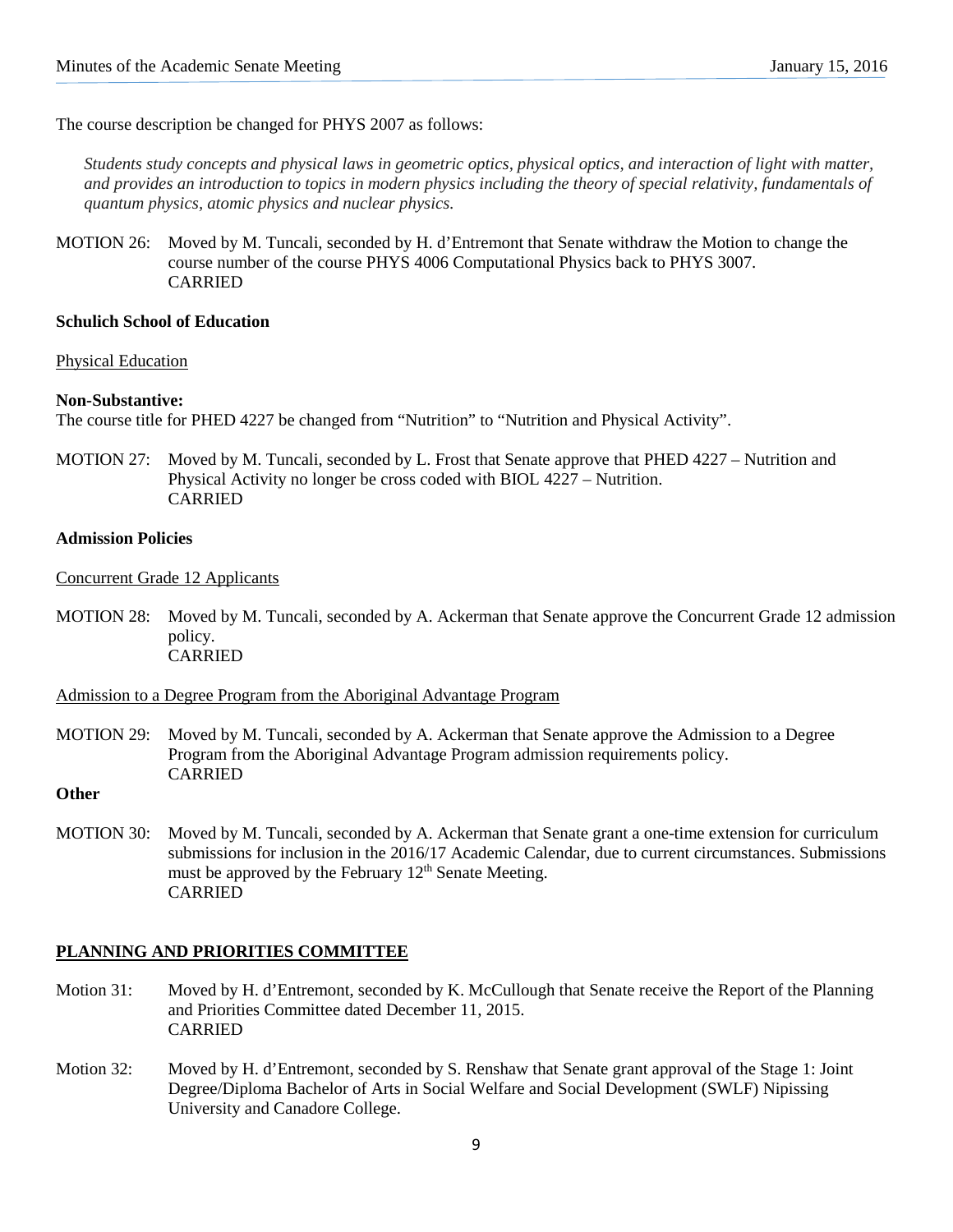The course description be changed for PHYS 2007 as follows:

*Students study concepts and physical laws in geometric optics, physical optics, and interaction of light with matter, and provides an introduction to topics in modern physics including the theory of special relativity, fundamentals of quantum physics, atomic physics and nuclear physics.*

MOTION 26: Moved by M. Tuncali, seconded by H. d'Entremont that Senate withdraw the Motion to change the course number of the course PHYS 4006 Computational Physics back to PHYS 3007. CARRIED

#### **Schulich School of Education**

Physical Education

#### **Non-Substantive:**

The course title for PHED 4227 be changed from "Nutrition" to "Nutrition and Physical Activity".

MOTION 27: Moved by M. Tuncali, seconded by L. Frost that Senate approve that PHED 4227 – Nutrition and Physical Activity no longer be cross coded with BIOL 4227 – Nutrition. CARRIED

## **Admission Policies**

#### Concurrent Grade 12 Applicants

MOTION 28: Moved by M. Tuncali, seconded by A. Ackerman that Senate approve the Concurrent Grade 12 admission policy. CARRIED

## Admission to a Degree Program from the Aboriginal Advantage Program

- MOTION 29: Moved by M. Tuncali, seconded by A. Ackerman that Senate approve the Admission to a Degree Program from the Aboriginal Advantage Program admission requirements policy. CARRIED
- **Other**
- MOTION 30: Moved by M. Tuncali, seconded by A. Ackerman that Senate grant a one-time extension for curriculum submissions for inclusion in the 2016/17 Academic Calendar, due to current circumstances. Submissions must be approved by the February  $12<sup>th</sup>$  Senate Meeting. CARRIED

# **PLANNING AND PRIORITIES COMMITTEE**

- Motion 31: Moved by H. d'Entremont, seconded by K. McCullough that Senate receive the Report of the Planning and Priorities Committee dated December 11, 2015. CARRIED
- Motion 32: Moved by H. d'Entremont, seconded by S. Renshaw that Senate grant approval of the Stage 1: Joint Degree/Diploma Bachelor of Arts in Social Welfare and Social Development (SWLF) Nipissing University and Canadore College.